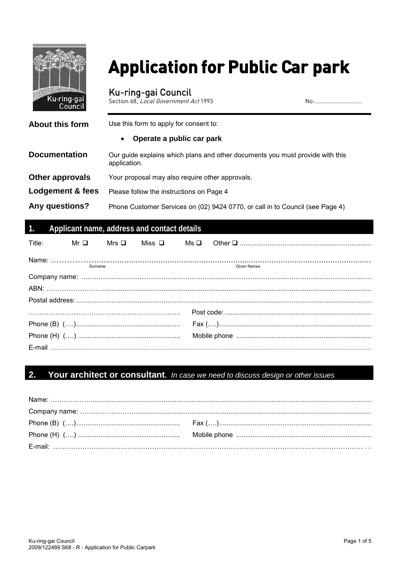

# **Application for Public Car park**

Ku-ring-gai Council<br>Section 68, Local Government Act 1993

No:................................

| About this form      | Use this form to apply for consent to:                                                        |  |  |
|----------------------|-----------------------------------------------------------------------------------------------|--|--|
|                      | Operate a public car park                                                                     |  |  |
| <b>Documentation</b> | Our guide explains which plans and other documents you must provide with this<br>application. |  |  |
| Other approvals      | Your proposal may also require other approvals.                                               |  |  |
| Lodgement & fees     | Please follow the instructions on Page 4                                                      |  |  |
| Any questions?       | Phone Customer Services on (02) 9424 0770, or call in to Council (see Page 4)                 |  |  |

## Applicant name, address and contact details

| Title: |         | $Mr\Box$ Mrs $\Box$ Miss $\Box$ |             |
|--------|---------|---------------------------------|-------------|
|        | Surname |                                 | Given Names |
|        |         |                                 |             |
|        |         |                                 |             |
|        |         |                                 |             |
|        |         |                                 |             |
|        |         |                                 |             |
|        |         |                                 |             |
|        |         |                                 |             |

#### $2.$ Your architect or consultant. In case we need to discuss design or other issues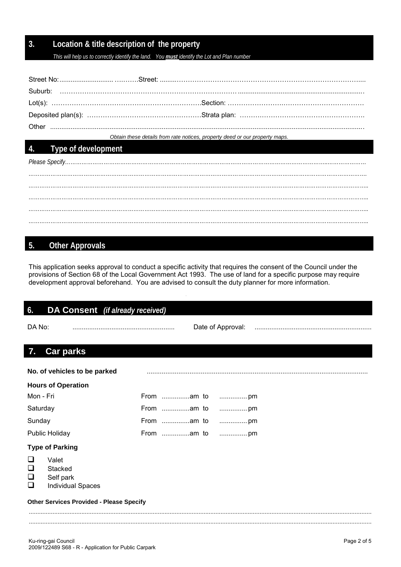## **3. Location & title description of the property**

*This will help us to correctly identify the land. You must identify the Lot and Plan number*

*Obtain these details from rate notices, property deed or our property maps.*

## **4. Type of development**

*Please Specify……………………………………………………………………………………………………………………………..………………… …………………………………………………………………………………………………………………………………………………………………. ………………………………………………………………………………………………………………………………………………………………….. …………………………………………………………………………………………………………………………………………………………………..* 

## **5. Other Approvals**

This application seeks approval to conduct a specific activity that requires the consent of the Council under the provisions of Section 68 of the Local Government Act 1993. The use of land for a specific purpose may require development approval beforehand. You are advised to consult the duty planner for more information.

| 6.                    | <b>DA Consent</b> (if already received)                   |            |                   |  |
|-----------------------|-----------------------------------------------------------|------------|-------------------|--|
| DA No:                |                                                           |            | Date of Approval: |  |
| 7.                    | <b>Car parks</b>                                          |            |                   |  |
|                       | No. of vehicles to be parked                              |            |                   |  |
|                       | <b>Hours of Operation</b>                                 |            |                   |  |
| Mon - Fri             |                                                           |            |                   |  |
| Saturday              |                                                           | From am to |                   |  |
| Sunday                |                                                           |            |                   |  |
|                       | <b>Public Holiday</b>                                     |            |                   |  |
|                       | <b>Type of Parking</b>                                    |            |                   |  |
| H<br>❏<br>$\Box$<br>❏ | Valet<br>Stacked<br>Self park<br><b>Individual Spaces</b> |            |                   |  |
|                       | <b>Other Services Provided - Please Specify</b>           |            |                   |  |
|                       |                                                           |            |                   |  |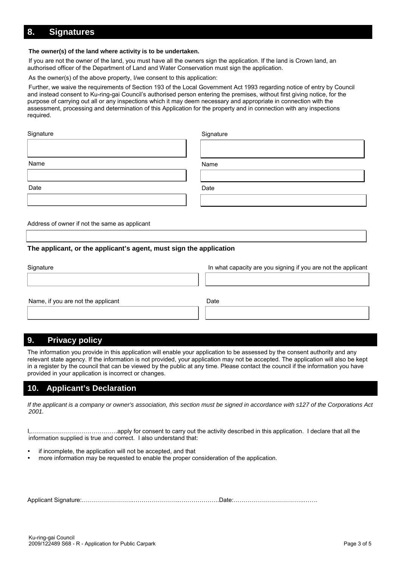## **8. Signatures**

#### **The owner(s) of the land where activity is to be undertaken.**

If you are not the owner of the land, you must have all the owners sign the application. If the land is Crown land, an authorised officer of the Department of Land and Water Conservation must sign the application.

As the owner(s) of the above property, I/we consent to this application:

Further, we waive the requirements of Section 193 of the Local Government Act 1993 regarding notice of entry by Council and instead consent to Ku-ring-gai Council's authorised person entering the premises, without first giving notice, for the purpose of carrying out all or any inspections which it may deem necessary and appropriate in connection with the assessment, processing and determination of this Application for the property and in connection with any inspections required.

| Signature | Signature |
|-----------|-----------|
| Name      | Name      |
| Date      | Date      |

Address of owner if not the same as applicant

#### **The applicant, or the applicant's agent, must sign the application**

| Signature                          | In what capacity are you signing if you are not the applicant |
|------------------------------------|---------------------------------------------------------------|
|                                    |                                                               |
|                                    |                                                               |
| Name, if you are not the applicant | Date                                                          |
|                                    |                                                               |

## **9. Privacy policy**

The information you provide in this application will enable your application to be assessed by the consent authority and any relevant state agency. If the information is not provided, your application may not be accepted. The application will also be kept in a register by the council that can be viewed by the public at any time. Please contact the council if the information you have provided in your application is incorrect or changes.

#### **10. Applicant's Declaration**

*If the applicant is a company or owner's association, this section must be signed in accordance with s127 of the Corporations Act 2001.*

I,…………………………………….apply for consent to carry out the activity described in this application. I declare that all the information supplied is true and correct. I also understand that:

- if incomplete, the application will not be accepted, and that
- more information may be requested to enable the proper consideration of the application.

Applicant Signature:……………………..…………………..………………..Date:……………………………..…….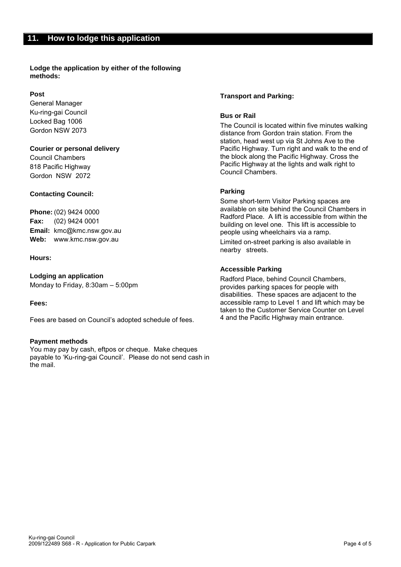**Lodge the application by either of the following methods:**

#### **Post**

General Manager Ku-ring-gai Council Locked Bag 1006 Gordon NSW 2073

#### **Courier or personal delivery**

Council Chambers 818 Pacific Highway Gordon NSW 2072

#### **Contacting Council:**

**Phone:** (02) 9424 0000 **Fax:** (02) 9424 0001 **Email:** [kmc@kmc.nsw.gov.au](mailto:kmc@kmc.nsw.gov.au) **Web:** www.kmc.nsw.gov.au

#### **Hours:**

**Lodging an application** Monday to Friday, 8:30am – 5:00pm

#### **Fees:**

Fees are based on Council's adopted schedule of fees.

#### **Payment methods**

You may pay by cash, eftpos or cheque. Make cheques payable to 'Ku-ring-gai Council'. Please do not send cash in the mail.

#### **Transport and Parking:**

#### **Bus or Rail**

The Council is located within five minutes walking distance from Gordon train station. From the station, head west up via St Johns Ave to the Pacific Highway. Turn right and walk to the end of the block along the Pacific Highway. Cross the Pacific Highway at the lights and walk right to Council Chambers.

#### **Parking**

Some short-term Visitor Parking spaces are available on site behind the Council Chambers in Radford Place. A lift is accessible from within the building on level one. This lift is accessible to people using wheelchairs via a ramp.

Limited on-street parking is also available in nearby streets.

#### **Accessible Parking**

Radford Place, behind Council Chambers, provides parking spaces for people with disabilities. These spaces are adjacent to the accessible ramp to Level 1 and lift which may be taken to the Customer Service Counter on Level 4 and the Pacific Highway main entrance.